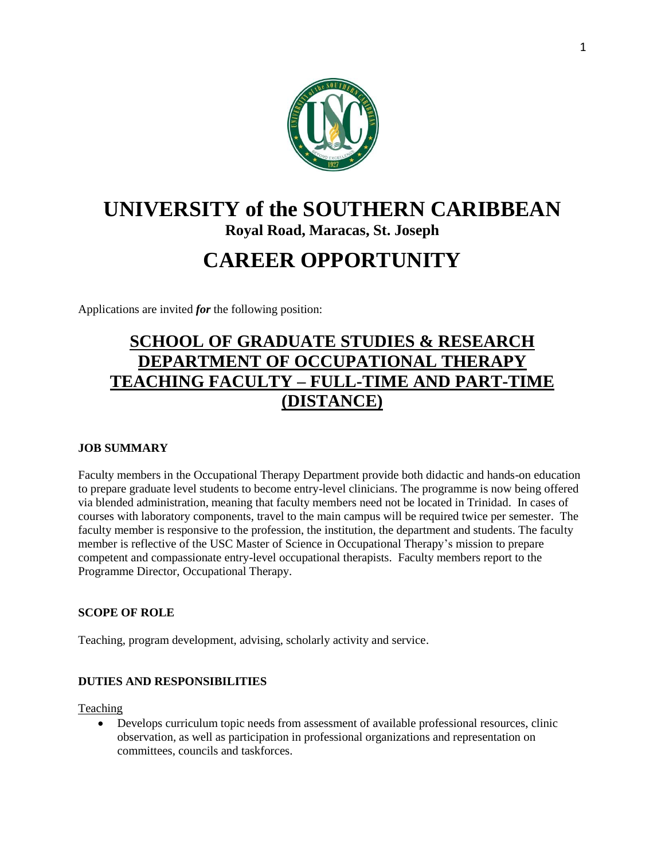

# **UNIVERSITY of the SOUTHERN CARIBBEAN**

**Royal Road, Maracas, St. Joseph**

## **CAREER OPPORTUNITY**

Applications are invited *for* the following position:

### **SCHOOL OF GRADUATE STUDIES & RESEARCH DEPARTMENT OF OCCUPATIONAL THERAPY TEACHING FACULTY – FULL-TIME AND PART-TIME (DISTANCE)**

#### **JOB SUMMARY**

Faculty members in the Occupational Therapy Department provide both didactic and hands-on education to prepare graduate level students to become entry-level clinicians. The programme is now being offered via blended administration, meaning that faculty members need not be located in Trinidad. In cases of courses with laboratory components, travel to the main campus will be required twice per semester. The faculty member is responsive to the profession, the institution, the department and students. The faculty member is reflective of the USC Master of Science in Occupational Therapy's mission to prepare competent and compassionate entry-level occupational therapists. Faculty members report to the Programme Director, Occupational Therapy.

#### **SCOPE OF ROLE**

Teaching, program development, advising, scholarly activity and service.

#### **DUTIES AND RESPONSIBILITIES**

Teaching

 Develops curriculum topic needs from assessment of available professional resources, clinic observation, as well as participation in professional organizations and representation on committees, councils and taskforces.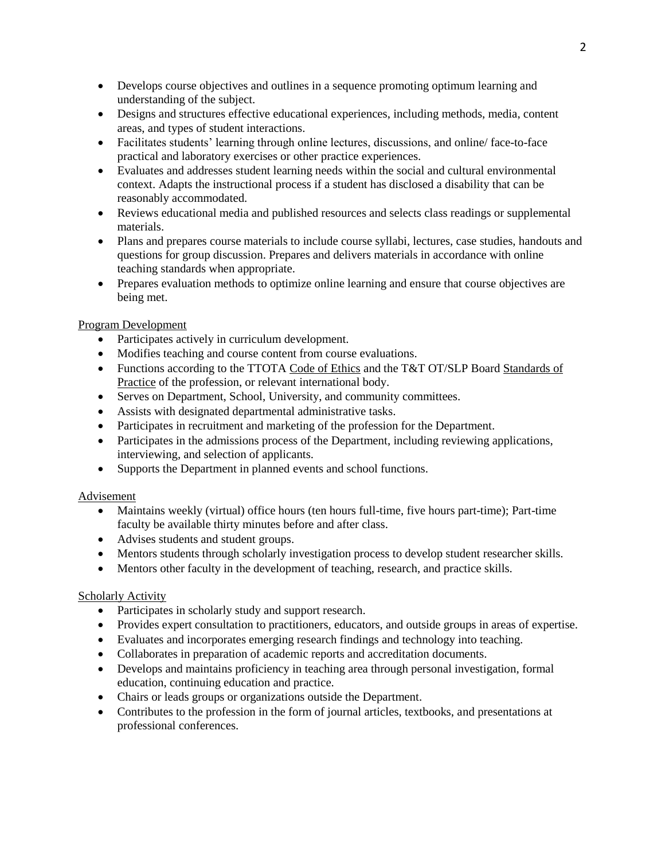- Develops course objectives and outlines in a sequence promoting optimum learning and understanding of the subject.
- Designs and structures effective educational experiences, including methods, media, content areas, and types of student interactions.
- Facilitates students' learning through online lectures, discussions, and online/ face-to-face practical and laboratory exercises or other practice experiences.
- Evaluates and addresses student learning needs within the social and cultural environmental context. Adapts the instructional process if a student has disclosed a disability that can be reasonably accommodated.
- Reviews educational media and published resources and selects class readings or supplemental materials.
- Plans and prepares course materials to include course syllabi, lectures, case studies, handouts and questions for group discussion. Prepares and delivers materials in accordance with online teaching standards when appropriate.
- Prepares evaluation methods to optimize online learning and ensure that course objectives are being met.

#### Program Development

- Participates actively in curriculum development.
- Modifies teaching and course content from course evaluations.
- Functions according to the TTOTA Code of Ethics and the T&T OT/SLP Board Standards of Practice of the profession, or relevant international body.
- Serves on Department, School, University, and community committees.
- Assists with designated departmental administrative tasks.
- Participates in recruitment and marketing of the profession for the Department.
- Participates in the admissions process of the Department, including reviewing applications, interviewing, and selection of applicants.
- Supports the Department in planned events and school functions.

#### Advisement

- Maintains weekly (virtual) office hours (ten hours full-time, five hours part-time); Part-time faculty be available thirty minutes before and after class.
- Advises students and student groups.
- Mentors students through scholarly investigation process to develop student researcher skills.
- Mentors other faculty in the development of teaching, research, and practice skills.

#### Scholarly Activity

- Participates in scholarly study and support research.
- Provides expert consultation to practitioners, educators, and outside groups in areas of expertise.
- Evaluates and incorporates emerging research findings and technology into teaching.
- Collaborates in preparation of academic reports and accreditation documents.
- Develops and maintains proficiency in teaching area through personal investigation, formal education, continuing education and practice.
- Chairs or leads groups or organizations outside the Department.
- Contributes to the profession in the form of journal articles, textbooks, and presentations at professional conferences.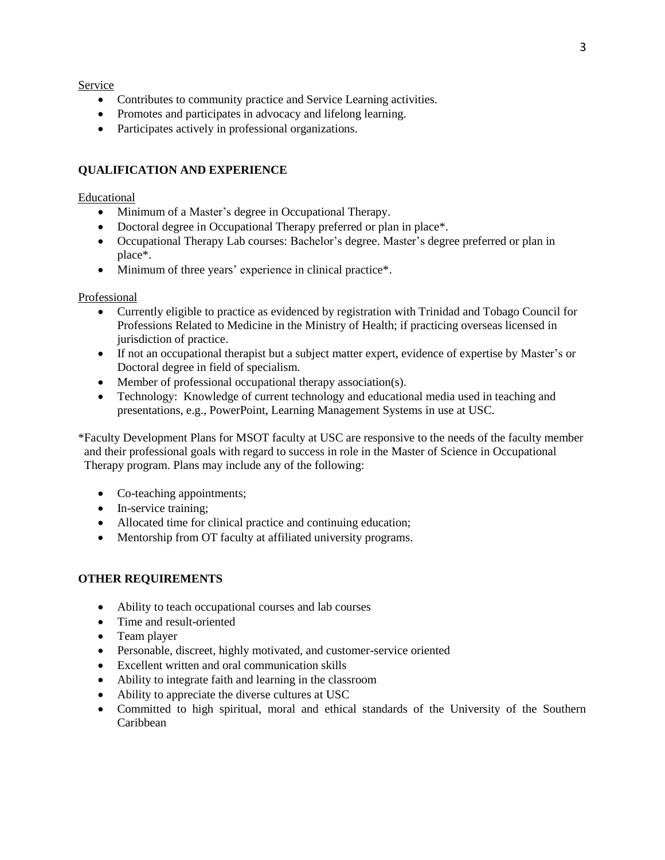Service

- Contributes to community practice and Service Learning activities.
- Promotes and participates in advocacy and lifelong learning.
- Participates actively in professional organizations.

#### **QUALIFICATION AND EXPERIENCE**

#### Educational

- Minimum of a Master's degree in Occupational Therapy.
- Doctoral degree in Occupational Therapy preferred or plan in place\*.
- Occupational Therapy Lab courses: Bachelor's degree. Master's degree preferred or plan in place\*.
- Minimum of three years' experience in clinical practice\*.

#### Professional

- Currently eligible to practice as evidenced by registration with Trinidad and Tobago Council for Professions Related to Medicine in the Ministry of Health; if practicing overseas licensed in jurisdiction of practice.
- If not an occupational therapist but a subject matter expert, evidence of expertise by Master's or Doctoral degree in field of specialism.
- Member of professional occupational therapy association(s).
- Technology: Knowledge of current technology and educational media used in teaching and presentations, e.g., PowerPoint, Learning Management Systems in use at USC.

\*Faculty Development Plans for MSOT faculty at USC are responsive to the needs of the faculty member and their professional goals with regard to success in role in the Master of Science in Occupational Therapy program. Plans may include any of the following:

- Co-teaching appointments;
- In-service training;
- Allocated time for clinical practice and continuing education;
- Mentorship from OT faculty at affiliated university programs.

#### **OTHER REQUIREMENTS**

- Ability to teach occupational courses and lab courses
- Time and result-oriented
- Team player
- Personable, discreet, highly motivated, and customer-service oriented
- Excellent written and oral communication skills
- Ability to integrate faith and learning in the classroom
- Ability to appreciate the diverse cultures at USC
- Committed to high spiritual, moral and ethical standards of the University of the Southern Caribbean